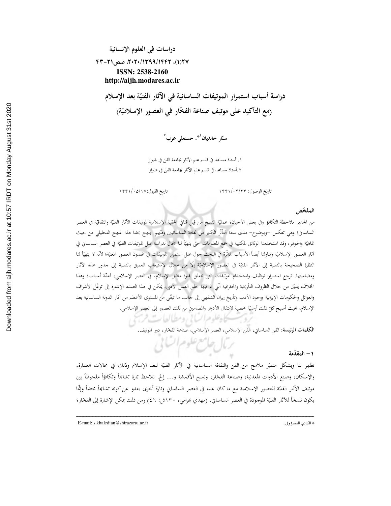دراسات في العلوم الإنسانية ٢٧(١)، ٢٠٢٠/١٣٩٩/١٤٩٦، صص٢١-۴٣ ISSN: 2538-2160 http://aijh.modares.ac.ir

دراسة أسباب استمرار الموتيفات الساسانية في الآثار الفنيّة بعد الإسلام (مع التأكيد على موتيف صناعة الفخّار في العصور الإسلاميّة)

ستّار خالدیان<sup>۹</sup>» حسنعلی عرب<sup>۲</sup>

١. أستاذ مساعد في قسم علم الآثار بجامعة الفنَ في شيراز ٢.أستاذ مساعد في قسم علم الآثار بجامعة الفنَ في شيراز

تاريخ القبول:١٣٢١/٠٥/١٣٢١

تاريخ الوصول: ۱۴۴۱/۰۴/۲۴

### الملخّص

من الجدير ملاحظة التكافؤ وفي بعض الأحيان؛ عمليّة النسخ من قِبل فناتيّ الحقبة الإسلامية لموتيفات الآثار الفنيّة والثقافيّة في العصر الساساني؛ وهي تعكس —وبوضوح– مدى سعة التأثُّر الكبير من ثقافة الساسانيين وفتَّهم. ينهج بحثنا هذا المنهج التحليلي من حيث الماهيّة والجوهر، وقد استخدمنا الوثائق المكتبية في جمع المعلومات حتّى يتهيّأ لنا المجال لدراسة علل الموتيفات الفنيّة في العصر الساساني في أثار العصور الإسلاميّة وتناولنا أيضاً الأسباب المؤثّرة في البحث حول علل استمرار الموتيفات في غضون العصور المعنيّة؛ لأنّه لا يتهيّأ لنا النظرة الصحيحة بالنسبة إلى الآثار الفنيّة في العصور الإسلاميّة إلّا من خلال الاستيعاب العميق بالنسبة إلى جذور هذه الآثار ومضامينها. ترجع استمرار توظيف واستخدام الموتيفات التي تتعلق بفترة ماقبل الإسلام، في العصر الإسلامي، لعدّة أسباب؛ وهذا الخلاف يتبيّن من حلال الظروف التأريخية والجغرافية الّتي تمّ فيها خلق العمل الأدبي، يمكن في هذا الصدد الإشارة إلى توغّل الأشراف والعوائل والحكومات الإيرانية ووجود الأدب وتأريخ إيران الشفهي إلى جانب ما تبقّي من المستوى الأعظم من آثار الدولة الساسانية بعد الإسلام، بحيث أصبح كلّ ذلك أرضيّة خصبة لانتقال الأدوار والمضامين من تلك العصور إلى العصر الإسلامي.

يحاه علوم التباني ومطالعات فرمبح

ا**لكلمات الرئيسة**: الفن الساساني، الفن الإسلامي، العصر الإسلامي، صناعة الفخّار، دور الموتيف.

## ١ – المقدّمة

تظهر لنا وبشكل متميّز ملامح من الفن والثقافة الساسانية في الآثار الفنيّة لبعد الإسلام وذلك في مجالات العمارة، والإسكان، وصنع الأدوات المعدنية، وصناعة الفخّار، ونسج الأقمشة و… إلخ. نلاحظ تارة تشابَّماً وتكافؤاً ملحوظاً بين موتيف الآثار الفنيّة للعصور الإسلامية مع ماكان عليه في العصر الساسابي وتارة أخرى يعدو عن كونه تشابَعاً محضاً وإنّما يكون نسخاً للآثار الفنيّة الموجودة في العصر الساساني. (مهدي بمرامي، ١٣٠ش: ٤٦) ومن ذلك يمكن الإشارة إلى الفخّار؛

رمال علامع علوم اتنائي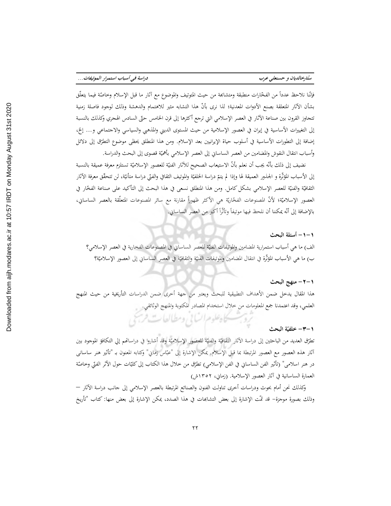فإنّنا نلاحظ عدداً من الفخّارات منطبقة ومتشابحة من حيث المتوتيف والموضوع مع آثار ما قبل الإسلام وخاصّة فيما يتعلّق بشأن الآثار المتعلقة بصنع الأدوات المعدنية؛ لذا نرى بأنّ هذا التشابه مثير للاهتمام والدهشة وذلك لوجود فاصلة زمنية تتحاوز القرون بين صناعة الآثار في العصر الإسلامي التي ترجع أكثرها إلى قرن الخامس حتّى السادس الهجري وكذلك بالنسبة إلى التغييرات الأساسية في إيران في العصور الإسلامية من حيث المستوى الديني والمذهبي والسياسي والاجتماعي و… إلخ، إضافة إلى التطورات الأساسية في أسلوب حياة الإيرانيين بعد الإسلام. ومن هذا المنطلق يحظى موضوع التطرّق إلى دلائل وأسباب انتقال النقوش والمضامين من العصر الساساني إلى العصر الإسلامي بأهميّة قصوى إلى البحث والدراسة.

نضيف إلى ذلك بأنّه يجب أن نعلم بأنّ الاستيعاب الصحيح للآثار الفنيّة للعصور الإسلاميّة تستلزم معرفة عميقة بالنسبة إلى الأسباب المؤثَّرة و الجذور العميقة لها وإذا لم يتمّ دراسة الخلفيّة والموتيف الثقافي والفنّي دراسة متأنيّة، لن تتحقّق معرفة الآثار الثقافيّة والفنيّة للعصر الإسلامي بشكل كامل. ومن هذا المنطلق نسعى في هذا البحث إلى التأكيد على صناعة الفخّار في العصور الإسلاميّة؛ لأنّ المصنوعات الفخّاريّة هي الأكثر ظهوراً مقارنة مع سائر المصنوعات المتعلّقة بالعصر الساساني، بالإضافة إلى أنَّه يمكننا أن نلحظ فيها موتيفاً وتأثَّراً أكبر من العصر الساساني.

## ١–١- أسئلة المحث

الف) ما هي أسباب استمرارية المضامين والموتيفات الفنيّة للعصر الساساني في المصنوعات الفخارية في العصر الإسلامي؟ ب) ما هي الأسباب المؤثِّرة في انتقال المضامين والموتيفات الفنيَّة والثقافيَّة في العصر الساساني إلى العصور الإسلاميّة؟

### ١ –٢ – منهج البحث

هذا المقال يدخل ضمن الأهداف التطبيقية للبحث ويعتبر من جهة أخرى ضمن الدراسات التأريخية من حيث المنهج العلمي، وقد اعتمدنا جمع المعلومات من حلال استخدام المصادر اللكتوبة والمنهج الوثائقي.

زوبت كاهلوم السابي ومطالعات فربحي

#### ١–٣– خلفتة الىحث

تطرّق العديد من الباحثين إلى دراسة الآثار الثقافيّة والفنيّة للعصور الإسلاميّة وقد أشاروا في دراساتمم إلي التكافؤ الموجود بين آثار هذه العصور مع العصور المرتبطة بما قبل الإسلام. يمكن الإشارة إلى "عبّاس زماني" وكتابه المعنون بـ "تأثير هنر ساساني در هنر اسلامي" (تأثير الفن الساساني في الفن الإسلامي) تطرّق من خلال هذا الكتاب إلى كليّات حول الأثر الفنّي وخاصّة العمارة الساسانية في آثار العصور الإسلامية. (زماني، ١٣٥٢ش)

وكذلك نحن أمام بحوث ودراسات أخرى تناولت الفنون والصنائع المرتبطة بالعصر الإسلامي إلى جانب دراسة الآثار — وذلك بصورة موجزة– قد تمَّت الإشارة إلى بعض التشابحات في هذا الصدد، يمكن الإشارة إلى بعض منها: كتاب "تأريخ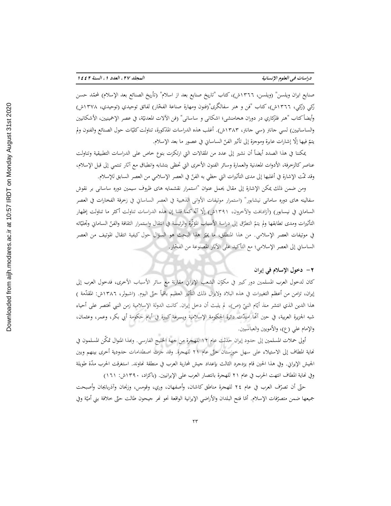صنايع ايران ويلسن" (ويلسن، ١٣٦٦ش)، كتاب "تاريخ صنايع بعد از اسلام" (تأريخ الصنائع بعد الإسلام) لمحمّد حسن زَكِي (زَكِي، ١٣٦٦ش)، كتاب "فن و هنر سفالگري"(فنون ومهارة صناعة الفخّار) لفائق توحيدي (توحيدي، ١٣٧٨ش) وأيضاً كتاب "هنر فلزكاري در دوران هخامنشي؛ اشكاني و ساساني" (فن الآلات المعدنيّة، في عصر الإخمينيين، الأشكانيين والساسانيين) لسي جانتر (سي جانتر، ١٣٨٣ش). أغلب هذه الدراسات المذكورة، تناولت كليّات حول الصنائع والفنون ولم يتمّ فيها إلّا إشارات عابرة وموجزة إلى تأثير الفنّ الساساني في عصور ما بعد الإسلام.

يمكننا في هذا الصدد أيضاً أن نشير إلى عدد من المقالات التي ارتكزت بنوع خاص على الدراسات التطبيقية وتناولت عناصر كالزخرفة، الأدوات المعدنية والعمارة وسائر الفنون الأخرى التي تحظى بتشابه وانطباق مع آثار تنتمي إلى قبل الإسلام، وقد تمَّت الإشارة في أغلبها إلى مدى التأثيرات التي حظى به الفنّ في العصر الإسلامي من العصر السابق للإسلام.

ومن ضمن ذلك يمكن الإشارة إلى مقال يحمل عنوان "استمرار نقشمايه هاى ظروف سيمين دوره ساساني بر نقوش سفالينه هاى دوره سامانى نيشابور" (استمرار موتيفات الأوانى الذهبية في العصر الساساني في زخرفة الفخارات في العصر الساماني في نيسابور) (آزادبخت والآخرون، ١٣٩١ش) إلَّا أنَّه كما قلنا إن هذه الدراسات تناولت أكثر ما تناولت إظهار التأثيرات ومدى تطابقها ولم يتمّ التطرّق إلى دراسة الأسباب المؤثّرة والرئيسة في انتقال واستمرار الثقافة والفنّ الساماني وتجليّاته في موتيفات العصر الإسلامي. من هذا المنطلق، ما يميّز هذا البحث هو السؤال حول كيفية انتقال الموتيف من العصر الساساني إلى العصر الإسلامي؛ مع التأكيد على الآثار المصنوعة من الفخّار.

## ٢- دخول الإسلام في إيران

كان لدخول العرب المسلمين دور كبير في مكوّن الشعب الإيراني مقارنة مع سائر الأسباب الأخرى، فدخول العرب إلى إيران، تزامن من أعظم التغييرات في هذه البلاد ولايزال ذلك التأثير العظيم باقياً حتّى اليوم. (اشبولر، ١٣٨٦ش: المقدّمة ) هذا الدين الذي انتشر منذ أيّام النبيّ (ص)، لم يلبث أن دخل إيران. كانت الدولة الإسلامية زمن النبي تختصر على أحياء شبه الجزيرة العربية، في حين أُنَّما امتدَّت دائرة الحكومة الإسلامية وبسرعة كبيرة في أيام حكومة أبي بكر، وعمر، وعثمان، والإمام على (ع)، والأمويين والعباسيين.

أولى حملات المسلمين إلى حدود إيران حدثت عام ١٢ للهجرة من جهة الخليج الفارسي. وبمذا المنوال تمكّن المسلمون في نماية المطاف إلى الاستيلاء على سهل خوزستان حتَّى عام ٢١ للهجرة. وقد جرت اصطدامات حدودية أخرى بينهم وبين الجيش الإيراني. وفي هذا الحين قام يزدجرد الثالث بإعداد جيش لمحاربة العرب في منطقة نحاوند. استغرقت الحرب مدّة طويلة وفي نحاية المطاف انتهت الحرب في عام ٢١ للهجرة بانتصار العرب على الإيرانيين. (باكزاد، ١٣٩٠ش: ١٦١)

حتَّى أن تصرّف العرب في عام ٢٤ للهجرة مناطق كاشان، وأصفهان، وري، وقومس، وزنجان وآذربايجان وأصبحت جميعها ضمن متصرّفات الإسلام. أمّا فتح البلدان والأراضي الإيرانية الواقعة نحو نحر جيحون طالت حتّى خلافة بني أميّة وفي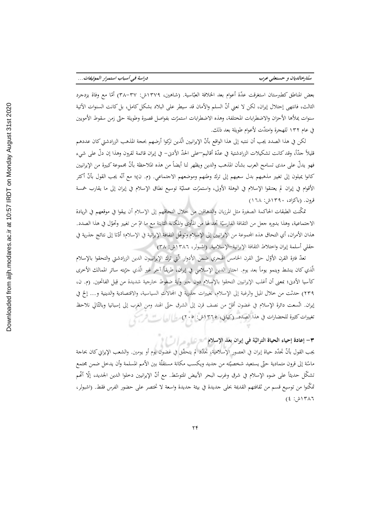ستارخالديان و حسنعلى عرب

بعض المناطق كطبرستان استغرقت عدّة أعوام بعد الخلافة العبّاسية. (شاهين، ١٣٧٩ش: ٣٧–٣٨) أمّا مع وفاة يزدجرد الثالث، فانتهى إحتلال إيران، لكن لا نعني أنّ السلم والأمان قد سيطر على البلاد بشكل كامل، بل كانت السنوات الآتية سنوات يماأها الأحزان والاضطرابات المختلفة، وهذه الاضطرابات استمرّت بفواصل قصيرة وطويلة حتّى زمن سقوط الأمويين في عام ١٣٢ للهجرة وامتدَّت لأعوام طويلة بعد ذلك.

لكن في هذا الصدد يجب أن ننتبه إلى هذا الواقع بأنّ الإيرانيين الّذين تركوا أرضهم بحجة المذهب الزرادشتي كان عددهم قليلاً جدّاً، وقد كانت تشكيلات الزرادشتية في عدّة أقاليم—على الحدّ الأدنى– في إيران قائمة لقرون وهذا إن دلّ على شيء فهو يدلُّ على مدى تسامح العرب بشأن المذهب والدين ويظهر لنا أيضاً من هذه الملاحظة بأنَّ مجموعة كبيرة من الإيرانيين كانوا يميلون إلى تغيير مذهبهم بدل سعيهم إلى ترك وطنهم وموضعهم الاجتماعي. (م. ن)؛ مع أنَّه يجب القول بأنَّ أكثر الأقوام في إيران لم يعتنقوا الإسلام في الوهلة الأولى، واستمرّت عمليّة توسيع نطاق الإسلام في إيران إلى ما يقارب خمسة قرون. (باكزاد، ۱۳۹۰ش: ۱٦۸)

تمكّنت الطبقات الحاكمة الصغيرة مثل المرزبان والدهاقين من خلال التحاقهم إلى الإسلام أن يبقوا في موقعهم في الريادة الاجتماعية، وهذا بدوره جعل من الثقافة الفارسيّة تجد لها من المأوى والمكانة الثابتة مع ما تمّ من تغيير وتحوّل في هذا الصدد. هذان الأمران، أي التحاق هذه المحموعة من الإيرانيين إلى الإسلام وتوغّل الثقافة الإيرانية في الإسلام؛ أدّتا إلى نتائج جذرية في حقلي أسلمة إيران واختلاط الثقافة الإيرانية–الإسلامية. (اشبولر، ١٣٨٦ش: ٣٨)

تعدُّ فترة القرن الأوّل حتَّى القرن الخامس الهجري ضمن الأدوار الَّتي ترك الإيرانييون الدين الزرادشتي والتحقوا بالإسلام الَّذي كان ينشط وينمو يوماً بعد يوم. اجتاز الدين الإسلامي في إيران، طريقاً آخر غير الَّذي جرّبته سائر الممالك الأخرى كآسيا الأدنى؛ بمعنى أن أغلب الإيرانيين التحقوا بالإسلام دون جبر وأية ضغوط خارجية شديدة من قِبل الفاتحين. (م. ن، ٢٣٩) حدثت من خلال الميل والرغبة إلى الإسلام، تغييرات جذرية في المحالات السياسية، والاقتصادية والدينية و… إلخ في إيران. اتّسعت دائرة الإسلام في غضون أقلّ من نصف قرن إلى الشرق حتّى الهند ومن الغرب إلى إسبانيا وبالتّالي نلاحظ تغييرات كثيرة للحضارات في هذا الصدد. (كياني، ١٣٦٥ش: ٢٠٥) سيرا إلى استقلابه المستقل

٣ – إعادة إحياء الحياة التراثيّة في إيران بعد الإسلام "حرِّ على مسرات المسلم"

يجب القول بأنّ تجدّد حياة إيران في العصور الإسلامية، تجدّد لم يتحقّق في غضون يوم أو يومين. والشعب الإيراني كان بحاجة ماسّة إلى قرون متمادية حتّى يستعيد شخصيّته من جديد ويكسب مكانة مستقلّة بين الأمم المسلمة وأن يدخل ضمن مجتمع تشكّل حديثاً على ضوء الإسلام في شرق وغرب البحر الأبيض المتوسّط. مع أنّ الإيرانيين دخلوا الدين الجديد، إلّا أنّهم تمكُّنوا من توسيع قسم من ثقافتهم القديمة بحلي جديدة في بيئة جديدة واسعة لا تختصر على حضور الفرس فقط. (اشبولر،  $(2 : A \setminus T \setminus T)$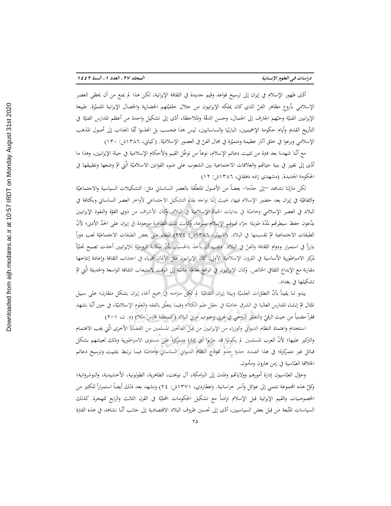أدّى ظهور الإسلام في إيران إلى ترسيخ قواعد وقيم جديدة في الثقافة الإيرانية، لكن هذا لم يمنع من أن يحظى العصر الإسلامي بأروع مظاهر الفنّ الذي كان يملكه الإيرانيون من خلال خلفيّتهم الحضارية والخصال الإيرانية المتميّزة. طبيعة الإيرانيين الفنيّة وحبّهم الجارف إلى الجمال، وحسن الدقّة والملاحظة، أدّى إلى تشكيل واحدة من أعظم المدارس الفنيّة في التأريخ القديم وأيام حكومة الإخمينيين، البارثيا والساسانيين، ليس هذا فحسب بل انجذبوا أيّما انجذاب إلى أصول المذهب الإسلامي وبرعوا في خلق آثار عظيمة ومتميّزة في مجال الفنّ في العصور الإسلاميّة. (كياني، ١٣٨٦ش: ١٣٠)

مع أنّنا شهدنا بعد فترة من تثبيت دعائم الإسلام، نوعاً من توغّل القيم والأحكام الإسلامية في حياة الإيرانيين، وهذا ما أدّى إلى تغيير في بنية حياتمم والعلاقات الاجتماعية بين الشعوب على ضوء القوانين الاسلاميّة الّتي تمّ وضعها وتطبيقها في الحكومة الجديدة. (مشهدي زاده دهقاني، ١٣٨٦ش: ١٢)

لكن مازلنا نشاهد —إلى حدّما– بعضاً من الأصول المتعلّقة بالعصر الساساني مثل: التشكيلات السياسية والاجتماعيّة والثقافيّة في إيران بعد حضور الإسلام فيها، بحيث إنّنا نواجه بقاء التشكيل الاحتماعي لأواخر العصر الساساني وبكثافة في البلاد في العصر الإسلامي وحاصّة في بدايات الحياة الإسلامية في البلاد. وكان الأشراف من ذوي القوّة والنفوذ الإيرانيين يدّعون حفظ سيطرتمم لمدّة طويلة جرّاء قبولهم الإسلام بسرعة، وكانت تلك الظاهرة موجودة في إيران على الحدّ الأدبي؛ لأنّ الطبقات الاجتماعية تمّ تقسيمها في البلاد. (اشبولر، ١٣٨٦ش: ٢٧٤) البقاء على بعض الطبقات الاجتماعيّة لعب دوراً بارزًا في استمرار ودوام الثقافة والفنّ في البلاد. ويجب أن نأخذ بالحسبان بأنّ المكانة الروحيّة للإيرانيين أخذت تصبح تحليّاً لمركز الامبراطورية الأساسية في القرون الإسلامية الأولى. كان الإيرانيون مثل الألمان أقوياء في اجتذاب الثقافة وإعادة إنتاجها مقارنة مع الإبداع الثقافي الخالص. وكان الإيرانيون في الواقع بحاجّة ماسّة إلى الوقت لاستيعاب الثقافة الواسعة والحديثة الّتي تمّ تشكيلها في بغداد.

يبدو لنا يقيناً بأنَّ التطوّرات العلميّة وبيئة إيران الثقافيّة لم تكن متزامنه في جميع أنحاء إيران بشكل متقارن؛ على سبيل المثال تمّ إنشاء المدارس العالية في الشرق حاصّة في حقل علم الكلام وفيما يتعلّق بالفقه والعلوم الإسلاميّة، في حين أنّنا نشهد فقرأ مضنياً من حيث الرقيِّ والتطوِّر الروحي في غربي وجنوب غربي البلاد (كمنطقة فارس مثلا) (م. ن، ١-٢)

استخدام واعتماد النظام الديواني والوزراء من الإيرانيين من قِبل الفاتحين المسلمين من القضايا الأخرى الّتي يجب الاهتمام والتركيز عليها؛ لأنّ العرب المسلمين لم يكونوا قد جرّبوا أي إدارة متمركزة على مستوى الامبراطورية وذلك لعيشهم بشكل قبائل غير متمركزة؛ في هذا الصدد حذوا حذو نموذج النظام الديواني الساساني وحاصّة فيما يرتبط بتثبيت وترسيخ دعائم الخلافة العبّاسية في زمن هارون ومأمون.

وحوّل العبّاسيون إدارة أمورهم وولاياتهم والمدن إلى البرامكة، آل نوبخت، الطاهرية، الطولونية، الأخشيدية، والنوشروانية؛ وكلّ هذه المجموعة تنتمي إلى عوائل وأسر خراسانية. (عطاردي، ١٣٧١ش: ٢٤) ونشهد بعد ذلك أيضاً استمراراً للكثير من الخصوصيات والقيم الإيرانية قبل الإسلام تزامناً مع تشكيل الحكومات المحليّة في القرن الثالث والرابع للهجرة. كذلك السياسات المتّبعة من قِبل بعض السياسيين، أدّى إلى تحسين ظروف البلاد الاقتصادية إلى جانب أنّنا نشاهد في هذه الفترة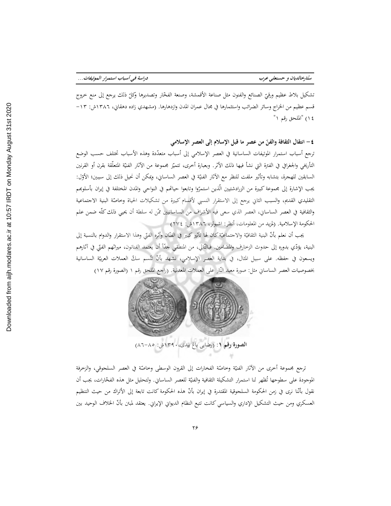تشكيل بلاط عظيم ورقيّ الصنائع والفنون مثل صناعة الأقمشة، وصنعة الفخّار وتصديرها وكلّ ذلك يرجع إلى منع خروج قسم عظيم من الخراج وسائر الضرائب واستثمارها في مجال عمران المدن وازدهارها. (مشهدي زاده دهقاني، ١٣٨٦ش: ١٣-١٤) "الملحق رقم ١"

٤ – انتقال الثقافة والفنّ من عصر ما قبل الإسلام إلى العصر الإسلامي ترجع أسباب استمرار الموتيفات الساسانية في العصر الإسلامي إلى أسباب متعدّدة وهذه الأسباب تختلف حسب الوضع التأريخي والجغرافي في الفترة التي نشأ فيها ذلك الأثر. وبعبارة أخرى، تتميّز مجموعة من الآثار الفنيّة المتعلّقة بقرن أو القرنين السابقين للهجرة، بتشابه وتأثير ملفت للنظر مع الآثار الفنيّة في العصر الساساني، ويمكن أن نحيل ذلك إلى سببين؛ الأوّل: يجب الإشارة إلى مجموعة كبيرة من الزرادشتيين الّذين استمرّوا وتابعوا حياتمم في النواحي والمدن المختلفة في إيران بأسلوبهم التقليدي القديم، والسبب الثاني يرجع إلى الاستقرار النسبي لأقسام كبيرة من تشكيلات الحياة وخاصّة البنية الاجتماعية والثقافية في العصر الساساني، العصر الذي سعى فيه الأشراف من الساسانيين ممّن له سلطة أن يحيى ذلك كلّه ضمن علم الحكومة الإسلامية. (لمزيد من المعلومات، أنظر: اشبولر، ١٣٨٦ش: ٢٧٤)

يجب أن نعلم بأنّ البنية الثقافيّة والاجتماعيّة كان لها تأثير كبير في الفنّان وأثره الفنّي وهذا الاستقرار والدوام بالنسبة إلى البنية، يؤدّي بدوره إلى حدوث الزحارف والمضامين. فبالتّالي، من المنطقى حدّاً أن يعتمد الفنانون، ميراثهم الفتّى في آثارهم ويسعون في حفظه. على سبيل المثال، في بداية العصر الإسلامي، نشهد بأنّ تُتّسم سكّ العملات العربيّة الساسانية بخصوصيات العصر الساساني مثل: صورة معبد النّار على العملات المعدنية. (راجع الملحق رقم ١ (الصورة رقم ١٧)



ترجع مجموعة أخرى من الآثار الفنيّة وخاصّة الفخارات إلى القرون الوسطى وخاصّة في العصر السلجوقي، والزخرفة الموجودة على سطوحها تُظهر لنا استمرار التشكيلة الثقافية والفنيّة للعصر الساساني. ولتحليل مثل هذه الفخّارات، يجب أن نقول بأنَّنا نرى في زمن الحكومة السلجوقية المقتدرة في إيران بأنَّ هذه الحكومة كانت تابعة إلى الأتراك من حيث التنظيم العسكري ومن حيث التشكيل الإداري والسياسي كانت تتبع النظام الديواني الإيراني. يعتقد لمبتن بأنّ الخلاف الوحيد بين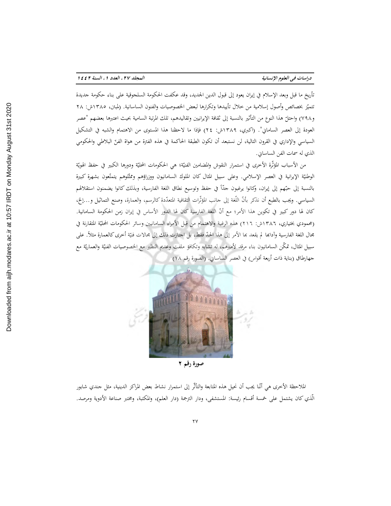دراسات في العلوم الإنسانية

تأريخ ما قبل وبعد الإسلام في إيران يعود إلى قبول الدين الجديد، وقد عكفت الحكومة السلجوقية على بناء حكومة جديدة تتميّز بخصائص وأصول إسلامية من خلال تأييدها وتكرارها لبعض الخصوصيات والفنون الساسانية. (لمبتن، ١٣٨٥ش: ٢٨ و٧٩٨) واحتلّ هذا النوع من التأثير بالنسبة إلى ثقافة الإيرانيين وتقاليدهم، تلك المرتبة السامية بحيث اعتبرها بعضهم "عصر العودة إلى العصر الساماني". (اكبري، ١٣٨٩ش: ٢٤) فإذا ما لاحظنا هذا المستوى من الاهتمام والشبه في التشكيل السياسي والإداري في القرون التالية، لن نستبعد أن تكون الطبقة الحاكمة في هذه الفترة من هواة الفنّ البلاطي والحكومي الذي له سمات الفن الساساين.

من الأسباب المؤثَّرة الأخرى في استمرار النقوش والمضامين الفنيّة؛ هي الحكومات المحليّة ودورها الكبير في حفظ الهويّة الوطنيّة الإيرانية في العصر الإسلامي. وعلى سبيل المثال كان الملوك السامانيون ووزراؤهم وممثّلوهم يتمتّعون بشهرة كبيرة بالنسبة إلى حبّهم إلى إيران، وكانوا يرغبون جدّاً في حفظ وتوسيع نطاق اللغة الفارسية، وبذلك كانوا يضمنون استقلالهم السياسي. ويجب بالطبع أن نذكر بأنَّ اللُّغة إلى جانب المؤثَّرات الثقافية المتعدّدة كالرسم، والعمارة، وصنع التماثيل و…إلخ، كان لها دور كبير في تكوين هذا الأمر؛ مع أنّ اللغة الفارسية كان لها الدور الأساس في إيران زمن الحكومة السامانية. (محمودي بختياري، ١٣٨٦ش: ٢١٦) هذه الرغبة والاهتمام من قِبل الأمراء السامانيين وسائر الحكومات المحليّة المتقارنة في مجال اللغة الفارسية وآدابحا لم يقعد بما الأمر إلى هذا الحدّ فقط، بل احتازت ذلك إلى مجالات فنيّة أخرى كالعمارة مثلأ. على سبيل المثال، تمكَّن السامانيون بناء مرقد لأميرهم، له تشابه وتكافؤ ملفت وعديم النظير مع الخصوصيات الفنيّة والعماريّة مع جهارطاق (بناية ذات أربعة أقواس) في العصر الساساني. (الصورة رقم ١٨)



صورة رقم ٢

الملاحظة الأخرى هي أنّنا يجب أن نحيل هذه المتابعة والتأثّر إلى استمرار نشاط بعض المراكز الدينية، مثل جندي شابور الّذي كان يشتمل على خمسة أقسام رئيسة: المستشفى، ودار الترجمة (دار العلم)، والمكتبة، ومختبر صناعة الأدوية ومرصد.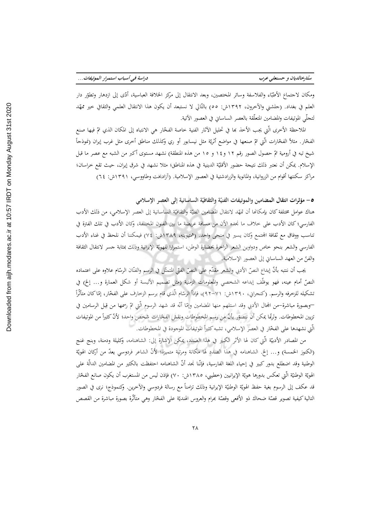ومكان لاجتماع الأطبّاء والفلاسفة وسائر المختصين، وبعد الانتقال إلى مركز الخلافة العباسية، أدّى إلى ازدهار وتطوّر دار العلم في بغداد. (جلشني والآخرون، ١٣٩٢ش: ٥٥) بالتّالي لا نستبعد أن يكون هذا الانتقال العلمي والثقافي خير ممهّد لتحلَّى الموتيفات والمضامين المتعلَّقة بالعصر الساساني في العصور الآتية.

الملاحظة الأخرى الَّتي يجب الأخذ بما في تحليل الآثار الفنية خاصة الفخّار هي الانتباه إلى المكان الذي تمّ فيها صنع الفخّار. مثلاً الفخّارات الّتي تمّ صنعها في مواضع أثريّة مثل نيسابور أو ري وكذلك مناطق أخرى مثل غرب إيران (نموذجأ شيخ تبه في أرومية تمّ حصول الصور رقم ١٢ و١٤ و ١٥ من هذه المنطقة) نشهد مستوى أكبر من الشبه مع عصر ما قبل الإسلام. يمكن أن نعتبر ذلك نتيجة حضور الأقليّة الدينية في هذه المناطق؛ مثلا نشهد في شرق إيران، حيث تقع خراسان؛ مراكز سكنتها أقوام من الزروانية، والمانوية والزرادشتية في العصور الإسلامية. (آزادبخت وطاووسى، ١٣٩١ش: ٦٤)

0– مؤثرات انتقال المضامين والموتيفات الفنيّة والثقافيّة الساسانية إلى العصر الإسلامي

هناك عوامل مختلفة كان بإمكانما أن تمهّد لانتقال المضامين الفنيّة والثقافيّة الساسانية إلى العصر الإسلامي، من ذلك الأدب الفارسي؛ كان الأدب على خلاف ما نجده الأن من مسافة عريضة ما بين الفنون المختلفة، وكان الأدب في تلك الفترة في تناسب ووفاق مع ثقافة المحتمع وكان يسير في منحى واحد. (همتيوينه، ١٣٨٩ش: ٧٤) فيمكننا أن نلحظ في غناء الأدب الفارسي والشعر بنحو حاص ودواوين الشعر الزاخرة بحضارة الوطن، استمرارا للهويّة الإيرانية وذلك بمثابة جسر لانتقال الثقافة والفرِّ من العهد الساساني إلى العصور الإسلامية.

يجب أن ننتبه بأنّ إبداع النصّ الأدبي والشعر مقدّم على النصّ الفتّى المتمثّل في الرسم والفنّان الرسّام علاوه على اعتماده النصِّ أمام عينه، فهو يوظَّف إبداعه الشخصي والمعلومات الزمنية (مثل تصميم الألبسة أو شكل العمارة و… إلخ) في تشكيله للزخرفه والرسم. (كنجراني، ١٣٩٠ش: ٧١–٩٢)، فإذاً الرسّام الّذي قام برسم الزخارف على الفخّار، إمّاكان متأثّراً —وبصورة مباشرة–من المجال الأدبي وقد استلهم منها المضامين وإِمّا أنّه قد شهد الرسوم الّتي تمّ رسمها من قِبل الرسامين في تزيين المخطوطات. ولرمّا يمكن أن نتصوّر بأنّ من رسم المخطوطات ونقش الفخّارات شخص واحد؛ لأنّ كثيراً من الموتيفات الَّتِي نشهدها على الفحَّارِ في العصرِ الإسلامي، تشبه كثيراً الموتيفات الموجودة في المخطوطات.

من المصادر الأدبيّة الّتي كان لها الأثر الكبير في هذا الصّدد، يمكن الإشارة إلى: الشاهنامه، وكليلة ودمنة، وبنج غنج (الكنوز الخمسة) و… إلخ. الشاهنامه في هذا الصدد لها مكانة ومرتبة متميزة؛ لأنّ الشاعر فردوسي يعدّ من أركان الهويّة الوطنية وقد اضطلع بدور كبير في إحياء اللغة الفارسية، فإنَّنا نجد أنَّ الشاهنامه احتفظت بالكثير من المضامين الدالَّة على الهويّة الوطنيّة الّتي تعكس بدورها هويّة الإيرانيين (خطيبي، ١٣٨٥ش: ٧٠) فإذن ليس من المستغرب أن يكون صانع الفخّار قد عكف إلى الرسوم بغية حفظ الهويّة الوطنيّة الإيرانية وذلك تزامناً مع رسالة فردوسي والآخرين. وكنموذج؛ نرى في الصور التالية كيفية تصوير قصّة ضحاك ذو الأفعى وقصّة بمرام والعروس الهنديّة على الفخّار وهي متأثَّرة بصورة مباشرة من القصص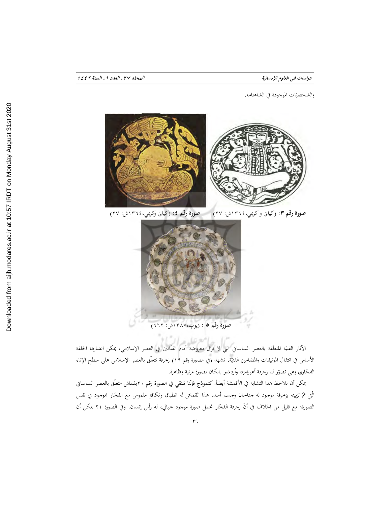دراسات في العلوم الإنسانية

والشخصيّات الموجودة في الشاهنامه.



صورة رقم ٣: (كياني و كريمي،١٣٦٤ش: ٢٧) مصورة رقم ٤: (كياني وكريمي،١٣٦٤ش: ٢٧)



صورة رقم ٥ : (پوپ،١٣٨٧ش: ٦٦٢)

.<br>الآثار الفنيّة المتعلّقة بالعصر الساساني التي لا تزال معروضة أمام الفنّانين في العصر الإسلامي، يمكن اعتبارها الحلقة الأساس في انتقال الموتيفات والمضامين الفنيَّة. نشهد (في الصورة رقم ١٩) زخرفة تتعلَّق بالعصر الإسلامي على سطح الإناء الفخّاري وهي تصوّر لنا زخرفة أهورامزدا وأردشير بابكان بصورة مرئية وظاهرة.

يمكن أن نلاحظ هذا التشابه في الأقمشة أيضاً. كنموذج فإنّنا نلتقي في الصورة رقم ٢٠بقماش متعلّق بالعصر الساساني الَّتي تمّ تزيينه بزخرفة موجود له جناحان وجسم أسد. هذا القماش له انطباق وتكافؤ ملموس مع الفخّار الموجود في نفس الصورة؛ مع قليل من الخلاف في أنّ زخرفة الفحّار تحمل صورة موجود خيالي، له رأس إنسان. وفي الصورة ٢١ يمكن أن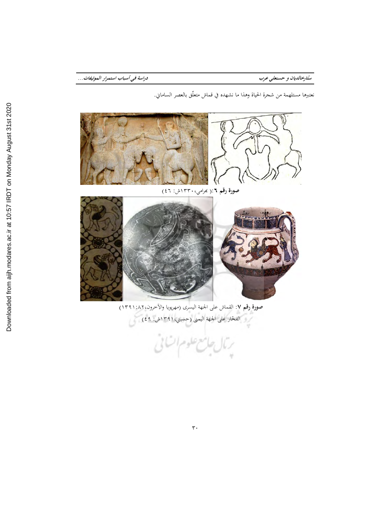ستارخالديان و حسنعلي عرب

نعتبرها مستلهمة من شجرة الحياة وهذا ما نشهده في قماش متعلَّق بالعصر الساماني.



صورة رقم ٧: القماش على الجهة اليسرى (مهريويا والآخرون، ٨٢. (١٣٩١) .<br>- الفخار على الحهة اليمني (حسيني، ١٣٩١ش: ٤٩)

رمال جامع علوم اتنائى

Downloaded from aijh.modares.ac.ir at 10:57 IRDT on Monday August 31st 2020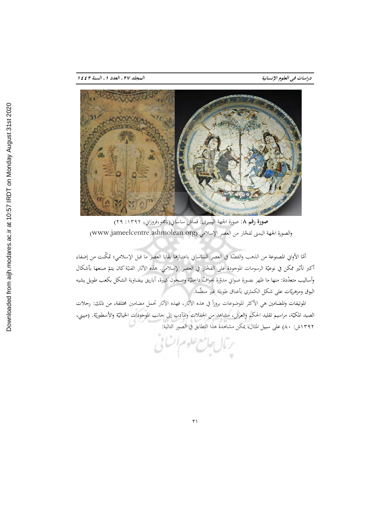

صورة رقم ٨: صورة الجهة اليسرى: قماش ساساني(نامجو،فروزاني، ١٣٩٢: ٢٩) والصورة الجهة اليمني لفخّار من العصر الإسلامي (www.jameelcentre.ashmolean.org)

أمّا الأواني المصنوعة من الذهب والفضّة في العصر الساساني باعتبارها بقايا العصر ما قبل الإسلامي؛ تمكّنت من إضفاء أكبر تأثير ممكن في نوعيّة الرسومات الموجودة على الفحّار في العصر الإسلامي. هذه الآثار الفنيّة كان يتمّ صنعها بأشكال وأساليب متعدّدة: منها ما ظهر بصورة صواني مدوّرة بحوافّ داخليّة وصحون كبيرة، أباريق بيضاوية الشكل بكعب طويل يشبه البوق ومزهريّات على شكل الكمثري بأعناق طويلة غير منظّمة.

الموتيفات والمضامين هي الأكثر الموضوعات بروزاً في هذه الآثار، فهذه الآثار تحمل مضامين مختلفة، من ذلك: رحلات الصيد المكيّة، مراسيم تقليد الحكم والعرش، مشاهد من الحفلات والمآدب إلى حانب الموحودات الحياليّة والأسطوريّة. (مبيني، ١٣٩٢ش: ٨٠) على سبيل المثال، يمكن مشاهدة هذا التطابق في الصور التالية:

 $\overline{r}$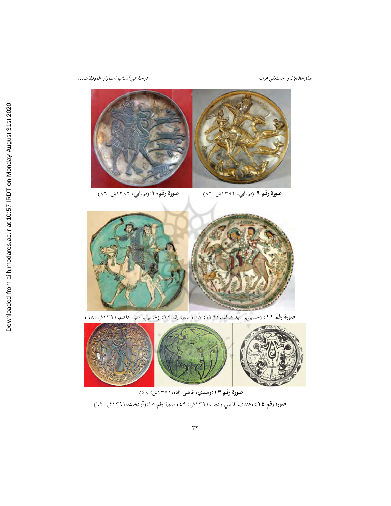

ستارخالديان و حسنعلي عرب

صورة رقم. ١:(ميرزايي، ١٣٩٢ش: ٩٦) صورة رقم ٩:(ميرزايي، ١٣٩٢ش: ٩٦)



صورة رقم ١١: (حسيني، سيد هاشم،١٣٩١: ٦٨) صورة رقم ١٢: (حسيني، سيد هاشم،١٣٩١ش :٦٨)



صورة رقم ١٣٩:(هندي، قاضي زاده،١٣٩١ش: ٤٩)

**صورة رقم ١٤**: (هندي، قاضي زاده، ١٣٩١٠ش: ٤٩) صورة رقم ١٥:(أزادبخت،١٣٩١ش: ٦٢)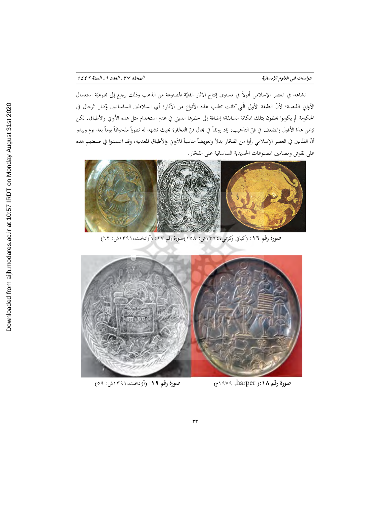دراسات في العلوم الإنسانية

نشاهد في العصر الإسلامي أفولاً في مستوى إنتاج الآثار الفنيّة المصنوعة من الذهب وذلك يرجع إلى ممنوعيّة استعمال الآواني الذهبية؛ لأنّ الطبقة الأولى الّتي كانت تطلب هذه الأنواع من الآثار؛ أي السلاطين الساسانيين وكبار الرحال في الحكومة لم يكونوا يحظون بتلك المكانة السابقة؛ إضافة إلى حظرها الديني في عدم استخدام مثل هذه الأواني والأطباق. لكن تزامن هذا الأفول والضعف في فنّ التذهيب، زاد رونقاً في مجال فنّ الفخّار؛ بحيث نشهد له تطوراً ملحوظاً يوماً بعد يوم ويبدو أنّ الفنّانين في العصر الإسلامي رأوا من الفحّار بدلاً وتعويضاً مناسباً للأواني والأطباق المعدنية، وقد اعتمدوا في صنعتهم هذه على نقوش ومضامين المصنوعات الحديدية الساسانية على الفخّار.



صورة رقم ١٦: (كياني وكريمي،١٣٦٤ش: ١٥٨)صورة رقم ١٧: (آزادبخت،١٣٩١ش: ٦٢)



صورة رقم ١٩: (أزادبخت،١٣٩١ش: ٥٩)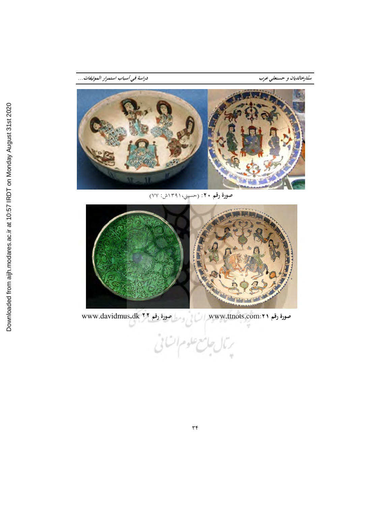ستارخالديان و حسنعلي عرب



صورة رقم ٢٠: (حسيني،١٣٩١ش: ٧٧)



www.davidmus.dk ٢٢ مودة رقم ٧٦ صورة رقم www.ttnots.com:۲۱ رمال جامع علوم اتنانى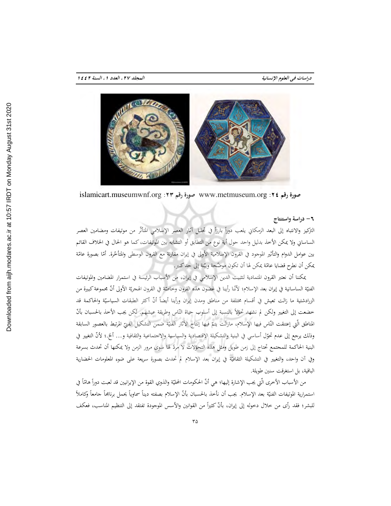

صورة رقم ٧٤: www.metmuseum.org صورة رقم ١٣: islamicart.museumwnf.org

## ٦- دراسة واستنتاج

التركيز والانتباه إلى البعد الزمكاني يلعب دوراً بارزاً في تحليل آثار العصر الإسلامي المتأثَّر من موتيفات ومضامين العصر الساساني ولا يمكن الأخذ بدليل واحد حول أية نوع من التطابق أو التشابه بين الموتيفات، كما هو الحال في الخلاف القائم بين عوامل الدوام والتأثير الموجود في القرون الإسلامية الأولى في إيران مقارنة مع القرون الوسطى والمتأخّرة. أمّا بصورة عامّة يمكن أن نطرح قضايا عامّة يمكن لها أن تكون موضّحة وبيّنة إلى حد كبير.

يمكننا أن نعتبر القرون المتمادية لتثبيت الدين الإسلامي في إيران، من الأسباب الرئيسة في استمرار المضامين والموتيفات الفنيّة الساسانية في إيران بعد الإسلام؛ لأنّنا رأينا في غضون هذه القرون وخاصّة في القرون الهجريّة الأولى أنّ مجموعة كبيرة من الزرادشتية ما زالت تعيش في أقسام مختلفة من مناطق ومدن إيران ورأينا أيضاً أنّ أكثر الطبقات السياسيّة والحاكمة قد خضعت إلى التغيير ولكن لم نشهد تحوِّلاً بالنسبة إلى أسلوب حياة النَّاس وطريقة عيشهم. لكن يجب الأخذ بالحسبان بأنّ المناطق الَّتي إعتنقت النَّاس فيها الإسلام، مازالت يتمَّ فيها إنتاج الآثار الفنيَّة ضمن التشكيل الفنيّ المرتبط بالعصور السابقة وذلك يرجع إلى عدم تحوّل أساسي في البنية والتشكيلة الاقتصادية والسياسية والاجتماعية والثقافية و… ألخ.؛ لأنّ التغيير في البنية الحاكمة للمحتمع تحتاج إلى زمن طويل ومثل هذه التحوّلات لا مردّ لها سوى مرور الزمن ولا يمكنها أن تحدث بسرعة وفي آن واحد، والتغيير في التشكيلة الثقافيّة في إيران بعد الإسلام لم تحدث بصورة سريعة على ضوءِ المعلومات الحضارية الباقية، بل استغرقت سنين طويلة.

من الأسباب الأخرى الّتي يجب الإشارة إليها؛ هي أنّ الحكومات المحليّة والذوي القوة من الإيرانيين قد لعبت دوراً هامّاً في استمرارية الموتيفات الفنيّة بعد الإسلام. يجب أن نأخذ بالحسبان بأنّ الإسلام بصفته ديناً سماوياً يحمل برنامجاً جامعاً وكاملاً للبشر؛ فقد رأى من خلال دخوله إلى إيران، بأنَّ كثيراً من القوانين والأسس الموجودة تفتقد إلى التنظيم المناسب، فعكف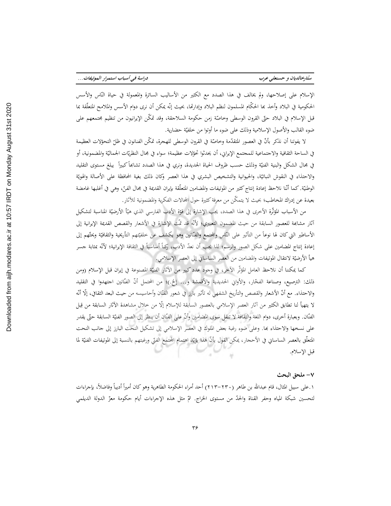الإسلام على إصلاحها، ولم يخالف في هذا الصدد مع الكثير من الأساليب السائرة والمعمولة في حياة النّاس والأسس الحكومية في البلاد وأخذ بما الحكّام المسلمون لنظم البلاد وإدارتما، بحيث إنّه يمكن أن نرى دوام الأسس والملامح المتعلّقة بما قبل الإسلام في البلاد حتّى القرون الوسطى وخاصّة زمن حكومة السلاجقة، وقد تمكّن الإيرانيون من تنظيم مجتمعهم على ضوءِ القالب والأصولِ الإسلامية وذلك على ضوءِ ما أوتوا من خلفيّة حضارية.

لا يفوتنا أن نذكر بأنّ في العصور المتقدّمة وخاصّة في القرون الوسطى للهجرة، تمكّن الفنانون في ظلّ التحوّلات العظيمة في الساحة الثقافية والاجتماعية للمجتمع الإيراني، أن يحدثوا تحوّلات عظيمة؛ سواء في مجال النظريّات الجماليّة والمضمونية، أو في مجال الشكل والبنية الفنيّة وذلك حسب ظروف الحياة الجديدة، ونري في هذا الصدد تشابماً كبيراً يبلغ مستوى التقليد والاحتذاء في النقوش النباتيَّة، والحيوانية والتشخيص البشري في هذا العصر وكان ذلك بغية المحافظة على الأصالة والهويَّة الوطنيّة. كما أنّنا نلاحظ إعادة إنتاج كثير من الموتيفات والمضامين المتعلّقة بإيران القديمة في مجال الفنّ، وهي في أغلبها غامضة بعيدة عن إدراك المخاطب؛ بحيث لا يتمكَّن من معرفة كثيرة حول المحالات الفكرية والمضمونية للآثار.

من الأسباب المؤثِّرة الأخرى في هذا الصدد، يجب الإشارة إلى قوَّة الأدب الفارسي الذي هيَّأ الأرضيّة المناسبة لتشكيل آثار مشابحة للعصور السابقة من حيث المضمون التعبيري؛ لأنَّه قد تمَّت الإشارة في الأشعار والقصص القديمة الإيرانية إلى الأساطير التي كان لها نوعاً من التأثير على النّاس والمجتمع والفنّانين وهو يكشف عن خلفيّتهم التأريخية والثقافيّة ويحتّهم إلى إعادة إنتاج المضامين على شكل الصور والرسم؛ لذا يجب أن نعدّ الأدب، ركناً أساسياً في الثقافة الإيرانية؛ لأنّه بمثابة جسر هيأ الأرضيّة لانتقال الموتيفات والمضامين من العصر الساساني إلى العصر الإسلامي.

كما يمكننا أن نلاحظ العامل المؤثَّر الآخر، في وجود عدد كبير من الآثار الفنيّة المصنوعة في إيران قبل الإسلام (ومن ذلك: الترصيع، وصناعة الفحّار، والأواني الحديدية والأقمشة و... إلخ.)؛ من المحتمل أنّ الفنّانين اجتهدوا في التقليد والاحتذاء. مع أنّ الأشعار والقصص والتأريخ الشفهي له تأثير بارز في شعور الفنّان وأحاسيسه من حيث البعد الثقافي، إلّا أنّه لا يتهيأ لنا تطابق الكثير من آثار العصر الإسلامي بالعصور السابقة للإسلام إلَّا من خلال مشاهدة الآثار السابقة من قِبل الفنّان. وبعبارة أخرى، دوام اللغة والثقافة لا تنقل سوى المضامين وأنّ على الفنّان أن ينظر إلى الصور الفنيّة السابقة حتّى يقدر على نسخها والاحتذاء بما. وعلى ضوء رغبة بعض الملوك في العصر الإسلامي إلى تشكيل النحت البارز إلى حانب النحت المتعلُّق بالعصر الساساني في الأحجار، يمكن القول بأنَّ هذا يؤيِّد اهتمام المجتمع الفنِّي ورغبتهم بالنسبة إلى الموتيفات الفنيَّة لما قبل الإسلام.

#### ٧- ملحق البحث

١.على سبيل المثال، قام عبدالله بن طاهر (٢٣٠٠-٢١٣) أحد أمراء الحكومة الطاهرية وهو كان أميراً أديباً وفاضلاً، بإجراءات لتحسين شبكة المياه وحفر القناة والحدّ من مستوى الخراج. تمّ مثل هذه الإجراءات أيام حكومة معزّ الدولة الديلمي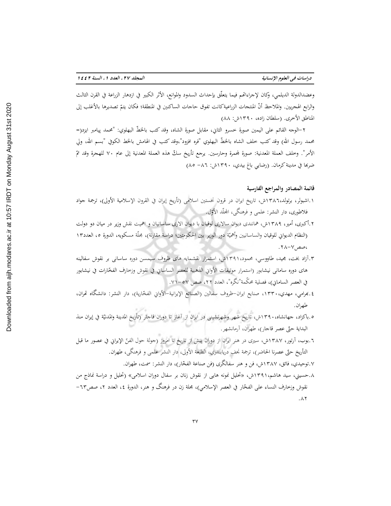وعضدالدولة الديلمي، وكان لإجراءاتهم فيما يتعلَّق بإحداث السدود والموانع، الأثر الكبير في ازدهار الزراعة في القرن الثالث والرابع الهجريين. والملاحظ أنّ المنتجات الزراعيةكانت تفوق حاجات الساكنين في المنطقة؛ فكان يتمّ تصديرها بالأغلب إلى المناطق الأخرى. (سلطان زاده، ١٣٩٠ش: ٨٨)

٢–الوجه القائم على اليمين صورة خسرو الثاني، مقابل صورة الشاه، وقد كتب بالخطّ البهلوي: "محمد پيامبر ايزد(= محمد رسول الله) وقد كتب خلف الشاه بالخطّ البهلوي "فره افزود"،وقد كتب في الهامش بالخط الكوفي "بسم الله، ولي الأمر". وخلف العملة المعدنية: صورة لمحمرة وحارسين. يرجع تأريخ سكّ هذه العملة المعدنية إلى عام ٧٠ للهجرة وقد تمّ ضربها في مدينة كرمان. (رضايي باغ بيدي، ١٣٩٠ش: ٨٦– ٨٥)

## قائمة المصادر والمراجع الفارسية

- ١.اشبولر، برتولد،١٣٨٦ش، تاريخ ايران در قرون نخستين اسلامي (تأريخ إيران في القرون الإسلامية الأولى)، ترجمة جواد فلاطوري، دار النشر: علمي و فرهنگي، المجلَّد الأوَّل.
- ۰٫۲٪ کبری، أمیر، ۱۳۸۹ش، همانندی دیوان سالاری لوقیان با دیوان الاری ساسانیان و اهمیت نقش وزیر در میان دو دولت (النظام الديواني للوقيان والساسانيين وأهميّة دور الوزير بين الحكومتين؛ دراسة مقارنة)، مجلّة مسكويه، الدورة ٥، العدد١٣ ، صص ۷–۲۸ .
- ۰.آزاد بخت، مجید، طاووسی، محمود،۱۳۹۱ش، استمرار نقشمایه های ظروف سیمسن دوره ساسانی بر نقوش سفالینه هاى دوره سامانى نيشابور (استمرار موتيفات الأوابي الذهبية للعصر الساساني في نقوش وزحارف الفخّارات في نيشابور في العصر السامايي)، فصلية محكَّمة"نگره"، العدد ٢٢، صص ٥٧–٧١.
- ٤.بهرامي، مهدي،١٣٣٠، صنايع ايران–ظروف سفالين (الصنائع الإيرانية–الأواني الفخّارية)، دار النشر: دانشگاه تحران، طهران.
- ٥.باكزاد، جهانشاه، ١٣٩٠ش، تاريخ شهر وشهرنشيني در ايران از آغاز تا دوران قاجار (تأريخ المدينة والمدنيّة في إيران منذ البداية حتّى عصر قاجار)، طهران، آرمانشهر.
- ٦.بوب، آرتور، ١٣٨٧ش، سيرى در هنر ايران از دوران پيش از تاريخ تا امروز (جولة حول الفنّ الإيراني في عصور ما قبل التأريخ حتّى عصرنا الحاضر)، ترجمة نجف دريابندري، الطبعة الأولى، دار النشر علمي و فرهنگي، طهران.

٧.توحيدي، فائق، ١٣٨٧ش، فن و هنر سفالگري (فن صناعة الفخّار)، دار النشر: سمت، طهران.

۰۸.حسینی، سید هاشم،۱۳۹۱ش، «تحلیل نمونه هایی از نقوش زنان بر سفال دوران اسلامی» (تحلیل و دراسة نماذج من نقوش وزخارف النساء على الفخّار في العصر الإسلامي)، مجلة زن در فرهنگ و هنر، الدورة ٤، العدد ٢، صص٦٣–  $. \wedge \Upsilon$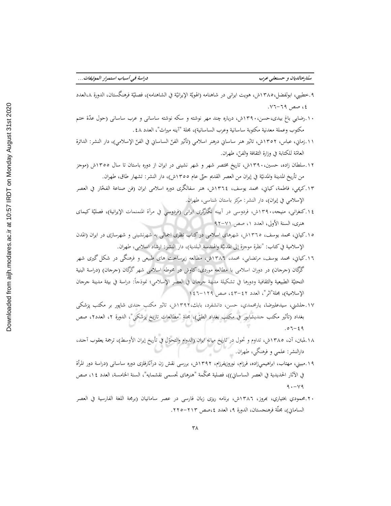- ٩.خطيبي، ابولفضل،١٣٨٥ش، هويت ايراني در شاهنامه (الهويّة الإيرانيّة في الشاهنامه)، فصليّة فرهنگستان، الدورة ٨،العدد ٤، صص ٦٩-٧٦.
- ۱۰.رضایی باغ بیدی،حسن،۱۳۹۰ش، درباره چند مهر نوشته و سکه نوشته ساسانی و عرب ساسانی (حول عدّة ختم مكتوب وعملة معدنية مكتوبة ساسانية وعرب الساسانية)، مجلة "آينه ميراث"، العدد ٤٨ .
- ١١.زمايي، عباس، ١٣٥٢ش، تاثير هنر ساسايي درهنر اسلامي (تأثير الفنّ الساسايي في الفنّ الإسلامي)، دار النشر: الدائرة العامّة للكتابة في وزارة الثقافة والفتر، طهران.
- ۱۲.سلطان زاده، حسین، ۱۳۹۰ش، تاریخ مختصر شهر و شهر نشینی در ایران از دوره باستان تا سال ۱۳۰۵ش (موجز من تأريخ المدينة والمدنيّة في إيران من العصر القديم حتّى عام ١٣٥٥ش)، دار النشر: تشهار طاق، طهران.
- ١٣.كريمي، فاطمة، كياني، محمد يوسف، ١٣٦٤ش، هنر سفالگرى دوره اسلامي ايران (فن صناعة الفخّار في العصر الإسلامي في إيران)، دار النشر: مركز باستان شناسي، طهران.
- ١٤.كنغراني، منيجه،٣٩٠ش، فردوسي در آيينه نگارگري ايراني (فردوسي في مرآة المنمنمات الإيرانية)، فصليّة كيماي هنري، السنة الأولى، العدد ١، صص ٧١-٩٢
- ۱۰.کیانی، محمد یوسف، ۱۳٦٥ش، شهرهای اسلامی در کتاب نظری اجمالی به شهرنشینی و شهرسازی در ایران (المدن الإسلامية في كتاب: "نظرة موجزة إلى المدنيّة والهندسة البلدية)، دار النشر: ارشاد اسلامي، طهران.
- ۱٦.کیاني، محمد یوسف، مرتضایی، محمد، ١٣٨٦ش، مطالعه زیرساخت های طبیعی و فرهنگی در شکل گیری شهر گرگان (جرجان) در دوران اسلامی با مطالعه موردی: کاوش در محوطه اسلامی شهر گرگان (جرجان) (دراسة البنیة التحتيّة الطبيعية والثقافية ودورها في تشكيلة مدينة جرجان في العصر الإسلامي؛ نموذجاً: دراسة في بيئة مدينة جرجان الإسلامية)، مجلة"اثر"، العدد ٤٢–٤٢، صص ١٢٩–١٤٦
- ۱۷.حلشنی، سیدعلیرضا، یارمحمدی، حسن، دانشفرد، بابك،۱۳۹۲ش، تاثیر مكتب جندی شاپور بر مكتب پزشكی بغداد (تأثير مكتب جنديشابور في مكتب بغداد الطبّي)، مجلة "مطالعات تاريخ پزشكي"، الدورة ٢، العدد٢، صص  $.07 - 29$
- ١٨.لمبتن، آن، ١٣٨٥ش، تداوم و تحول در تاريخ ميانه ايران (الدوام والتحوّل في تأريخ إيران الأوسط)، ترجمة يعقوب آجند، دارالنشر: علمي و فرهنگي، طهران. پ
- ۱۹.مبینی، مهتاب، ابراهیمیزاده، فرزام، نوروزیفرزام، ۱۳۹۲ش، بررسی نقش زن درآثارفلزی دوره ساسانی (دراسة دور المرأة في الآثار الحديدية في العصر الساساني))، فصلية محكَّمة "هنرهاى تجسمي نقشمايه"، السنة الحامسة، العدد ١٤، صص  $9. - Y9$
- ۲۰.محمودي بختياري، بمروز، ۱۳۸۲ش، برنامه ريزى زبان فارسي در عصر سامانيان (برمجة اللغة الفارسية في العصر الساماني)، مجلَّة فرهنجستان، الدورة ٩، العدد ٤،صص ٢١٣–٢٢٥.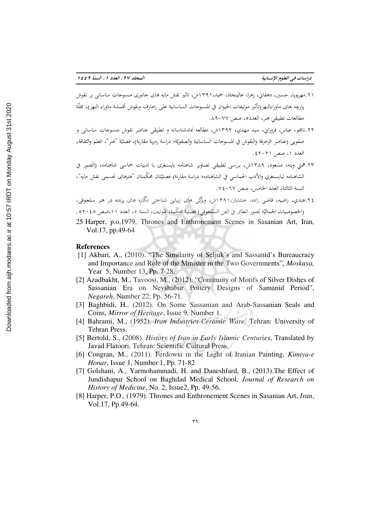- ۲۱.مهربویا، حسین، دهقایی، زهرا، عالینجاد، حمید،۱۳۹۱ش، تاثیر نقش مایه های جانوری منسوجات ساسانی بر نقوش يارچه هاى ماوراءالنهر(تأثير موتيفات الحيوان في المنسوجات الساسانية على زحارف ونقوش أقمشة ماوراء النهر)، مجلَّة مطالعات تطبيقي هنر، العدده، صص ٧٧-٨٩.
- ۲۲.نامجو، عباس، فروزانی، سید مهدی، ۱۳۹۲ش، مطالعه نمادشناسانه و تطبیقی عناصر نقوش منسوجات ساسانی و صفويي (عناصر الزخرفة والنقوش في المنسوجات الساسانية والصفويّة؛ دراسة رمزية مقارنة)، فصليّة "هنر"، العلم والثقافة، العدد ١، صص ٢١-٤٢.
- ٤٣.همتى وينه، مسعود، ١٣٨٩ش، بررسي تطبيقي تصاوير شاهنامه بايسنغرى با ادبيات حماسي شاهنامه، (الصور في الشاهنامه لبايسنغري والأدب الحماسبي في الشاهنامه؛ دراسة مقارنة) فصليّتان محكّمتان "هنرهاى تجسمي نقش مايه"، السنة الثالثة، العدد الخامس، صص ٦٧-٢٤.
- ۲٤.هندي، راضيه، قاضي زاده، خشايار،٣٩١١ش، ويَڙگي هاي زيبايي شناختي نگاره هاي پرنده در هنر سلجوقي، (الخصوصيات الجماليّة لصور الطائر في الفن السلجوقي) فصلية محكّمة، الموتيف، السنة ٥، العدد ١١،صص ٤٥-٥٢.
- 25 Harper, p.o.1979, Thrones and Enthronement Scenes in Sasanian Art, Iran, Vol.17, pp.49-64

### **References**

- [1] Akbari, A., (2010). "The Similarity of Seljuk's and Sassanid's Bureaucracy and Importance and Role of the Minister in the Two Governments", Moskuya, Year 5, Number 13, Pp. 7-28.
- [2] Azadbakht, M., Tavoosi, M., (2012). "Continuity of Motifs of Silver Dishes of Sassanian Era on Neyshabur Pottery Designs of Samanid Period", *Negareh*, Number 22; Pp. 56-71.
- [3] Baghbidi, H., (2012). On Some Sassanian and Arab-Sassanian Seals and Coins, *Mirror of Heritage*, Issue 9, Number 1.
- [4] Bahrami, M., (1952). Iran Industries-Ceramic Ware, Tehran: University of Tehran Press.
- [5] Bertold, S., (2008). *History of Iran in Early Islamic Centuries*, Translated by Javad Flatoori, Tehran: Scientific Cultural Press.
- [6] Congran, M., (2011). Ferdowsi in the Light of Iranian Painting, Kimiya-e *Honar*, Issue 1, Number 1, Pp. 71-82
- [7] Golshani, A., Yarmohammadi, H. and Daneshfard, B., (2013). The Effect of Jundishapur School on Baghdad Medical School, Journal of Research on *History of Medicine, No. 2, Issue2, Pp. 49-56.*
- [8] Harper, P.O., (1979). Thrones and Enthronement Scenes in Sasanian Art, *Iran*, Vol.17, Pp.49-64.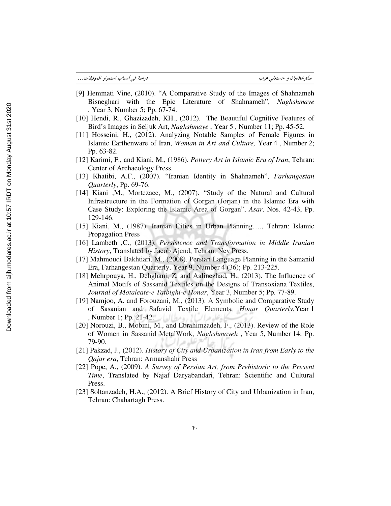| دراسة في أسباب استمرار الموتيفات… |  | ستارخالديان و حسنعلى عرب |
|-----------------------------------|--|--------------------------|
|-----------------------------------|--|--------------------------|

- [9] Hemmati Vine, (2010). "A Comparative Study of the Images of Shahnameh Bisneghari with the Epic Literature of Shahnameh", *Naghshmaye*  , Year 3, Number 5; Pp. 67-74.
- [10] Hendi, R., Ghazizadeh, KH., (2012). The Beautiful Cognitive Features of Bird's Images in Seljuk Art, *Naghshmaye* , Year 5 , Number 11; Pp. 45-52.
- [11] Hosseini, H., (2012). Analyzing Notable Samples of Female Figures in Islamic Earthenware of Iran, *Woman in Art and Culture,* Year 4 , Number 2; Pp. 63-82.
- [12] Karimi, F., and Kiani, M., (1986). *Pottery Art in Islamic Era of Iran*, Tehran: Center of Archaeology Press.
- [13] Khatibi, A.F., (2007). "Iranian Identity in Shahnameh", *Farhangestan Quarterly*, Pp. 69-76.
- [14] Kiani , M., Mortezaee, M., (2007). "Study of the Natural and Cultural Infrastructure in the Formation of Gorgan (Jorjan) in the Islamic Era with Case Study: Exploring the Islamic Area of Gorgan", *Asar*, Nos. 42-43, Pp. 129-146.
- [15] Kiani, M., (1987). Iranian Cities in Urban Planning…., Tehran: Islamic Propagation Press
- [16] Lambeth ,C., (2013). *Persistence and Transformation in Middle Iranian History*, Translated by Jacob Ajend, Tehran: Ney Press.
- [17] Mahmoudi Bakhtiari, M., (2008). Persian Language Planning in the Samanid Era, Farhangestan Quarterly, Year 9, Number 4 (36); Pp. 213-225.
- [18] Mehrpouya, H., Dehghani, Z. and Aalinezhad, H., (2013). The Influence of Animal Motifs of Sassanid Textiles on the Designs of Transoxiana Textiles, *Journal of Motaleate-e Tatbighi-e Honar*, Year 3, Number 5; Pp. 77-89.
- [19] Namjoo, A. and Forouzani, M., (2013). A Symbolic and Comparative Study of Sasanian and Safavid Textile Elements, *Honar Quarterly*,Year 1 , Number 1; Pp. 21-42. رومطالعا بر
- [20] Norouzi, B., Mobini, M., and Ebrahimzadeh, F., (2013). Review of the Role of Women in Sassanid MetalWork, *Naghshmayeh* , Year 5, Number 14; Pp. 79-90.
- [21] Pakzad, J., (2012). *History of City and Urbanization in Iran from Early to the Qajar era*, Tehran: Armanshahr Press
- [22] Pope, A., (2009). *A Survey of Persian Art, from Prehistoric to the Present Time*, Translated by Najaf Daryabandari, Tehran: Scientific and Cultural Press.
- [23] Soltanzadeh, H.A., (2012). A Brief History of City and Urbanization in Iran, Tehran: Chahartagh Press.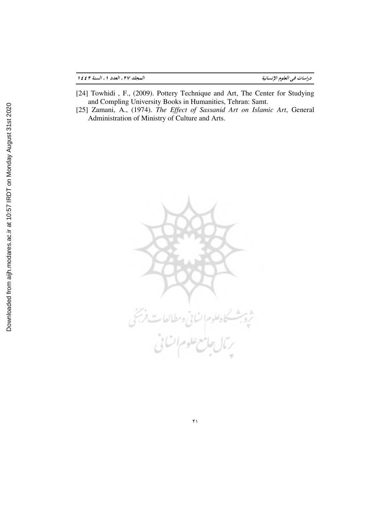| العجلد ٢٧، العدد ١، السنة ٢٤٤٢ | دراسات في العلوم الإنسانية |  |  |
|--------------------------------|----------------------------|--|--|
|                                |                            |  |  |

- [24] Towhidi , F., (2009). Pottery Technique and Art, The Center for Studying and Compling University Books in Humanities, Tehran: Samt.
- [25] Zamani, A., (1974). *The Effect of Sassanid Art on Islamic Art*, General Administration of Ministry of Culture and Arts.



 $\mathfrak{f}$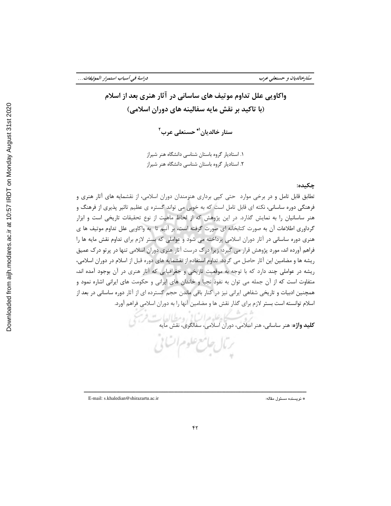واكاويي علل تداوم موتيف هاي ساساني در آثار هنري بعد از اسلام (با تاكيد بر نقش مايه سفالينه هاي دوران اسلامي)

ستار خالديان<sup>'\*</sup> حسنعلى عرب<sup>٢</sup>

 1. استاديار گروه باستان شناسي دانشگاه هنر شيراز . 2 استاديار گروه باستان شناسي دانشگاه هنر شيراز

# چكيده:

تطابق قابل تامل و در برخي موارد حتي كپي برداري هنرمندان دوران اسلامي، از نقشمايه هاي آثار هنري و فرهنگي دوره ساساني، نكته اي قابل تامل است كه به خوبي مي تواند گستره ي عظيم تاثير پذيري از فرهنگ و هنر ساسانيان را به نمايش گذارد. در اين پژوهش كه از لحاظ ماهيت از نوع تحقيقات تاريخي است و ابزار گرداوري اطلاعات آن به صورت كتابخانه اي صورت گرفته است، بر آنيم تا به واكاويي علل تداوم موتيف ها ي هنري دوره ساساني در آثار دوران اسلامي پرداخته مي شود و عواملي كه بستر لازم براي تداوم نقش مايه ها را فراهم آورده اند، مورد پژوهش قرار مي گيرد؛ زيرا درك درست آثار هنري دوران اسلامي تنها در پرتو درك عميق ريشه ها و مضامين اين آثار حاصل مي گردد. تداوم استفاده از نقشمايه هاي دوره قبل از اسلام در دوران اسلامي، ريشه در عواملي چند دارد كه با توجه به موقعيت تاريخي و جغرافيايي كه آثار هنري در آن بوجود آمده اند، متفاوت است كه از آن جمله مي توان به نفوذ نجبا و خاندان هاي ايراني و حكومت هاي ايراني اشاره نمود و همچنين ادبيات و تاريخي شفاهي ايراني نيز در كنار باقي ماندن حجم گسترده اي از آثار دوره ساساني در بعد از اسلام توانسته است بستر لازم براي گذار نقش ها و مضامين آنها را به دوران اسلامي فراهم آورد.

كليد واژه: هنر ساساني، هنر اسلامي، دوران اسلامي، سفالگري، نقش مايه

E-mail: s.khaledian@shirazartu.ac.ir :مقاله مسئول نويسنده \*

ــــــــــــــــــــــــــــــــــــــــــــــــــــــــــــــــــــــــــــــــــــــــــــــــــــــــــــــــــــ

برمال جامع علوم الشامي